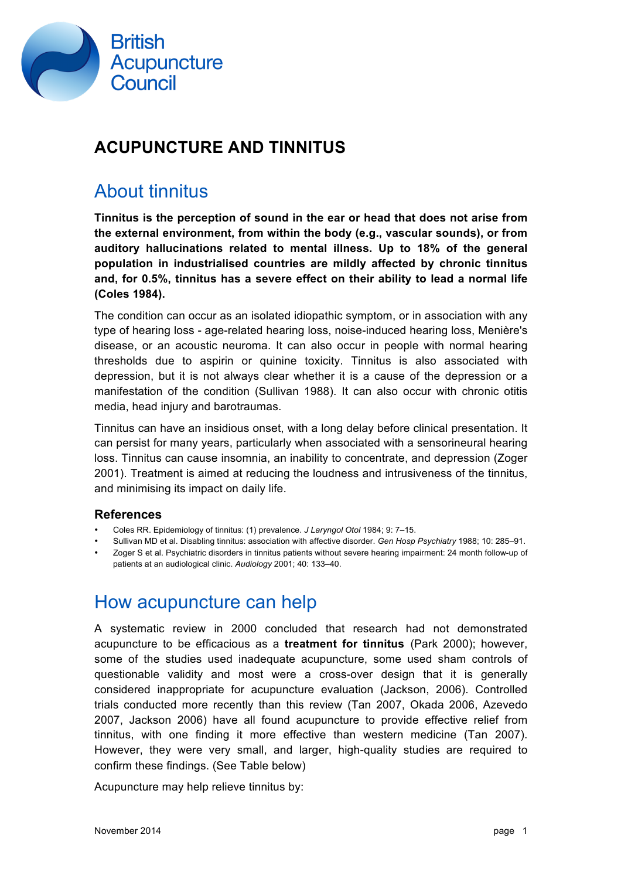

### **ACUPUNCTURE AND TINNITUS**

#### About tinnitus

**Tinnitus is the perception of sound in the ear or head that does not arise from the external environment, from within the body (e.g., vascular sounds), or from auditory hallucinations related to mental illness. Up to 18% of the general population in industrialised countries are mildly affected by chronic tinnitus and, for 0.5%, tinnitus has a severe effect on their ability to lead a normal life (Coles 1984).** 

The condition can occur as an isolated idiopathic symptom, or in association with any type of hearing loss - age-related hearing loss, noise-induced hearing loss, Menière's disease, or an acoustic neuroma. It can also occur in people with normal hearing thresholds due to aspirin or quinine toxicity. Tinnitus is also associated with depression, but it is not always clear whether it is a cause of the depression or a manifestation of the condition (Sullivan 1988). It can also occur with chronic otitis media, head injury and barotraumas.

Tinnitus can have an insidious onset, with a long delay before clinical presentation. It can persist for many years, particularly when associated with a sensorineural hearing loss. Tinnitus can cause insomnia, an inability to concentrate, and depression (Zoger 2001). Treatment is aimed at reducing the loudness and intrusiveness of the tinnitus, and minimising its impact on daily life.

#### **References**

- Coles RR. Epidemiology of tinnitus: (1) prevalence. *J Laryngol Otol* 1984; 9: 7–15.
- Sullivan MD et al. Disabling tinnitus: association with affective disorder. *Gen Hosp Psychiatry* 1988; 10: 285–91.
- Zoger S et al. Psychiatric disorders in tinnitus patients without severe hearing impairment: 24 month follow-up of patients at an audiological clinic. *Audiology* 2001; 40: 133–40.

#### How acupuncture can help

A systematic review in 2000 concluded that research had not demonstrated acupuncture to be efficacious as a **treatment for tinnitus** (Park 2000); however, some of the studies used inadequate acupuncture, some used sham controls of questionable validity and most were a cross-over design that it is generally considered inappropriate for acupuncture evaluation (Jackson, 2006). Controlled trials conducted more recently than this review (Tan 2007, Okada 2006, Azevedo 2007, Jackson 2006) have all found acupuncture to provide effective relief from tinnitus, with one finding it more effective than western medicine (Tan 2007). However, they were very small, and larger, high-quality studies are required to confirm these findings. (See Table below)

Acupuncture may help relieve tinnitus by: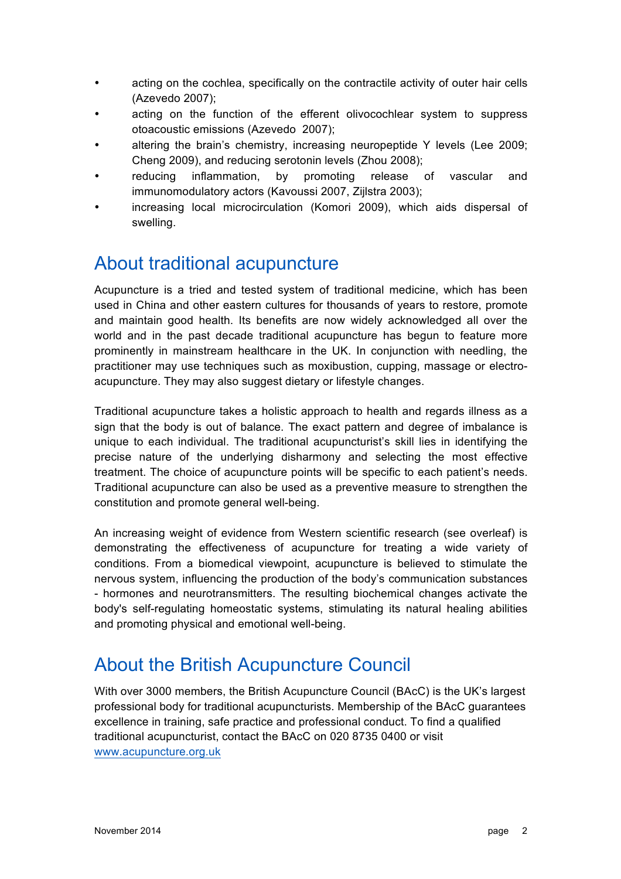- acting on the cochlea, specifically on the contractile activity of outer hair cells (Azevedo 2007);
- acting on the function of the efferent olivocochlear system to suppress otoacoustic emissions (Azevedo 2007);
- altering the brain's chemistry, increasing neuropeptide Y levels (Lee 2009; Cheng 2009), and reducing serotonin levels (Zhou 2008);
- reducing inflammation, by promoting release of vascular and immunomodulatory actors (Kavoussi 2007, Zijlstra 2003);
- increasing local microcirculation (Komori 2009), which aids dispersal of swelling.

## About traditional acupuncture

Acupuncture is a tried and tested system of traditional medicine, which has been used in China and other eastern cultures for thousands of years to restore, promote and maintain good health. Its benefits are now widely acknowledged all over the world and in the past decade traditional acupuncture has begun to feature more prominently in mainstream healthcare in the UK. In conjunction with needling, the practitioner may use techniques such as moxibustion, cupping, massage or electroacupuncture. They may also suggest dietary or lifestyle changes.

Traditional acupuncture takes a holistic approach to health and regards illness as a sign that the body is out of balance. The exact pattern and degree of imbalance is unique to each individual. The traditional acupuncturist's skill lies in identifying the precise nature of the underlying disharmony and selecting the most effective treatment. The choice of acupuncture points will be specific to each patient's needs. Traditional acupuncture can also be used as a preventive measure to strengthen the constitution and promote general well-being.

An increasing weight of evidence from Western scientific research (see overleaf) is demonstrating the effectiveness of acupuncture for treating a wide variety of conditions. From a biomedical viewpoint, acupuncture is believed to stimulate the nervous system, influencing the production of the body's communication substances - hormones and neurotransmitters. The resulting biochemical changes activate the body's self-regulating homeostatic systems, stimulating its natural healing abilities and promoting physical and emotional well-being.

# About the British Acupuncture Council

With over 3000 members, the British Acupuncture Council (BAcC) is the UK's largest professional body for traditional acupuncturists. Membership of the BAcC guarantees excellence in training, safe practice and professional conduct. To find a qualified traditional acupuncturist, contact the BAcC on 020 8735 0400 or visit www.acupuncture.org.uk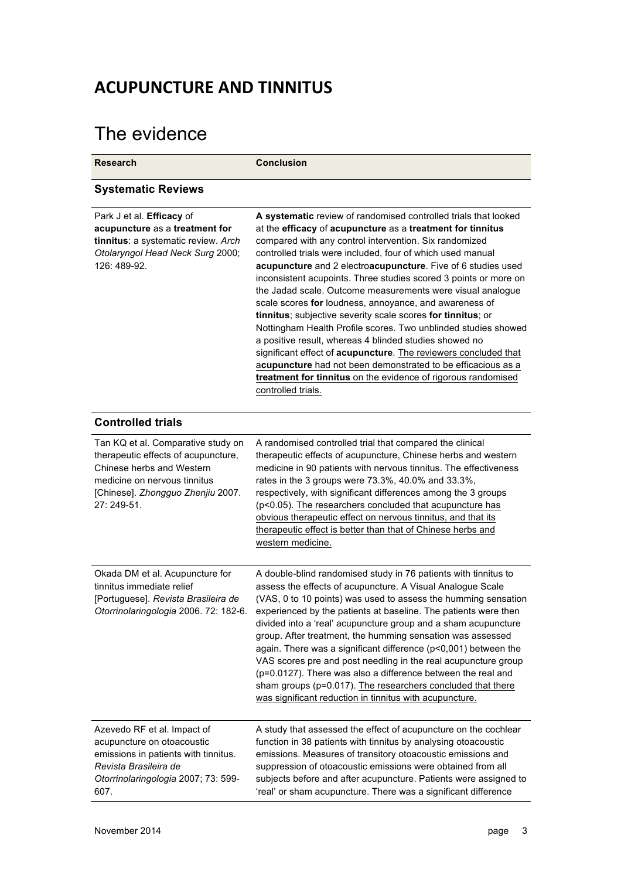## **ACUPUNCTURE AND TINNITUS**

# The evidence

| <b>Research</b>                                                                                                                                                                            | <b>Conclusion</b>                                                                                                                                                                                                                                                                                                                                                                                                                                                                                                                                                                                                                                                                                                                                                                                                                                                                                                                      |
|--------------------------------------------------------------------------------------------------------------------------------------------------------------------------------------------|----------------------------------------------------------------------------------------------------------------------------------------------------------------------------------------------------------------------------------------------------------------------------------------------------------------------------------------------------------------------------------------------------------------------------------------------------------------------------------------------------------------------------------------------------------------------------------------------------------------------------------------------------------------------------------------------------------------------------------------------------------------------------------------------------------------------------------------------------------------------------------------------------------------------------------------|
| <b>Systematic Reviews</b>                                                                                                                                                                  |                                                                                                                                                                                                                                                                                                                                                                                                                                                                                                                                                                                                                                                                                                                                                                                                                                                                                                                                        |
| Park J et al. Efficacy of<br>acupuncture as a treatment for<br>tinnitus: a systematic review. Arch<br>Otolaryngol Head Neck Surg 2000;<br>126: 489-92.                                     | A systematic review of randomised controlled trials that looked<br>at the efficacy of acupuncture as a treatment for tinnitus<br>compared with any control intervention. Six randomized<br>controlled trials were included, four of which used manual<br>acupuncture and 2 electroacupuncture. Five of 6 studies used<br>inconsistent acupoints. Three studies scored 3 points or more on<br>the Jadad scale. Outcome measurements were visual analogue<br>scale scores for loudness, annoyance, and awareness of<br>tinnitus; subjective severity scale scores for tinnitus; or<br>Nottingham Health Profile scores. Two unblinded studies showed<br>a positive result, whereas 4 blinded studies showed no<br>significant effect of acupuncture. The reviewers concluded that<br>acupuncture had not been demonstrated to be efficacious as a<br>treatment for tinnitus on the evidence of rigorous randomised<br>controlled trials. |
| <b>Controlled trials</b>                                                                                                                                                                   |                                                                                                                                                                                                                                                                                                                                                                                                                                                                                                                                                                                                                                                                                                                                                                                                                                                                                                                                        |
| Tan KQ et al. Comparative study on<br>therapeutic effects of acupuncture,<br>Chinese herbs and Western<br>medicine on nervous tinnitus<br>[Chinese]. Zhongguo Zhenjiu 2007.<br>27: 249-51. | A randomised controlled trial that compared the clinical<br>therapeutic effects of acupuncture, Chinese herbs and western<br>medicine in 90 patients with nervous tinnitus. The effectiveness<br>rates in the 3 groups were 73.3%, 40.0% and 33.3%,<br>respectively, with significant differences among the 3 groups<br>(p<0.05). The researchers concluded that acupuncture has<br>obvious therapeutic effect on nervous tinnitus, and that its<br>therapeutic effect is better than that of Chinese herbs and<br>western medicine.                                                                                                                                                                                                                                                                                                                                                                                                   |
| Okada DM et al. Acupuncture for<br>tinnitus immediate relief<br>[Portuguese]. Revista Brasileira de<br>Otorrinolaringologia 2006. 72: 182-6.                                               | A double-blind randomised study in 76 patients with tinnitus to<br>assess the effects of acupuncture. A Visual Analogue Scale<br>(VAS, 0 to 10 points) was used to assess the humming sensation<br>experienced by the patients at baseline. The patients were then<br>divided into a 'real' acupuncture group and a sham acupuncture<br>group. After treatment, the humming sensation was assessed<br>again. There was a significant difference (p<0,001) between the<br>VAS scores pre and post needling in the real acupuncture group<br>(p=0.0127). There was also a difference between the real and<br>sham groups (p=0.017). The researchers concluded that there<br>was significant reduction in tinnitus with acupuncture.                                                                                                                                                                                                      |
| Azevedo RF et al. Impact of<br>acupuncture on otoacoustic<br>emissions in patients with tinnitus.<br>Revista Brasileira de<br>Otorrinolaringologia 2007; 73: 599-<br>607.                  | A study that assessed the effect of acupuncture on the cochlear<br>function in 38 patients with tinnitus by analysing otoacoustic<br>emissions. Measures of transitory otoacoustic emissions and<br>suppression of otoacoustic emissions were obtained from all<br>subjects before and after acupuncture. Patients were assigned to<br>'real' or sham acupuncture. There was a significant difference                                                                                                                                                                                                                                                                                                                                                                                                                                                                                                                                  |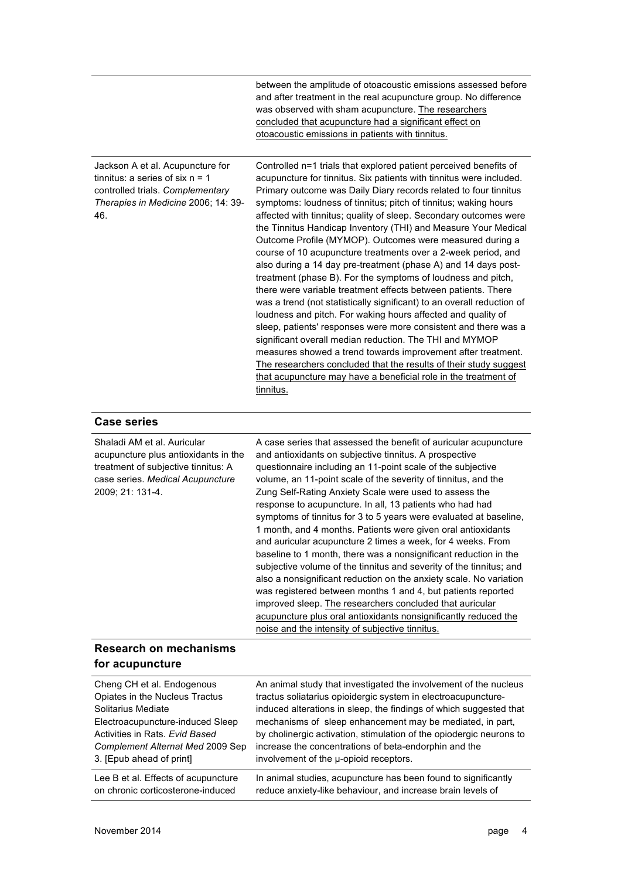|                                                                                                                                                                                              | between the amplitude of otoacoustic emissions assessed before<br>and after treatment in the real acupuncture group. No difference<br>was observed with sham acupuncture. The researchers<br>concluded that acupuncture had a significant effect on<br>otoacoustic emissions in patients with tinnitus.                                                                                                                                                                                                                                                                                                                                                                                                                                                                                                                                                                                                                                                                                                                                                                                                                                                                                                                                             |
|----------------------------------------------------------------------------------------------------------------------------------------------------------------------------------------------|-----------------------------------------------------------------------------------------------------------------------------------------------------------------------------------------------------------------------------------------------------------------------------------------------------------------------------------------------------------------------------------------------------------------------------------------------------------------------------------------------------------------------------------------------------------------------------------------------------------------------------------------------------------------------------------------------------------------------------------------------------------------------------------------------------------------------------------------------------------------------------------------------------------------------------------------------------------------------------------------------------------------------------------------------------------------------------------------------------------------------------------------------------------------------------------------------------------------------------------------------------|
| Jackson A et al. Acupuncture for<br>tinnitus: a series of six $n = 1$<br>controlled trials. Complementary<br>Therapies in Medicine 2006; 14: 39-<br>46.                                      | Controlled n=1 trials that explored patient perceived benefits of<br>acupuncture for tinnitus. Six patients with tinnitus were included.<br>Primary outcome was Daily Diary records related to four tinnitus<br>symptoms: loudness of tinnitus; pitch of tinnitus; waking hours<br>affected with tinnitus; quality of sleep. Secondary outcomes were<br>the Tinnitus Handicap Inventory (THI) and Measure Your Medical<br>Outcome Profile (MYMOP). Outcomes were measured during a<br>course of 10 acupuncture treatments over a 2-week period, and<br>also during a 14 day pre-treatment (phase A) and 14 days post-<br>treatment (phase B). For the symptoms of loudness and pitch,<br>there were variable treatment effects between patients. There<br>was a trend (not statistically significant) to an overall reduction of<br>loudness and pitch. For waking hours affected and quality of<br>sleep, patients' responses were more consistent and there was a<br>significant overall median reduction. The THI and MYMOP<br>measures showed a trend towards improvement after treatment.<br>The researchers concluded that the results of their study suggest<br>that acupuncture may have a beneficial role in the treatment of<br>tinnitus. |
| <b>Case series</b>                                                                                                                                                                           |                                                                                                                                                                                                                                                                                                                                                                                                                                                                                                                                                                                                                                                                                                                                                                                                                                                                                                                                                                                                                                                                                                                                                                                                                                                     |
| Shaladi AM et al. Auricular<br>acupuncture plus antioxidants in the<br>treatment of subjective tinnitus: A<br>case series. Medical Acupuncture<br>2009; 21: 131-4.                           | A case series that assessed the benefit of auricular acupuncture<br>and antioxidants on subjective tinnitus. A prospective<br>questionnaire including an 11-point scale of the subjective<br>volume, an 11-point scale of the severity of tinnitus, and the<br>Zung Self-Rating Anxiety Scale were used to assess the<br>response to acupuncture. In all, 13 patients who had had<br>symptoms of tinnitus for 3 to 5 years were evaluated at baseline,<br>1 month, and 4 months. Patients were given oral antioxidants<br>and auricular acupuncture 2 times a week, for 4 weeks. From<br>baseline to 1 month, there was a nonsignificant reduction in the<br>subjective volume of the tinnitus and severity of the tinnitus; and<br>also a nonsignificant reduction on the anxiety scale. No variation<br>was registered between months 1 and 4, but patients reported<br>improved sleep. The researchers concluded that auricular<br>acupuncture plus oral antioxidants nonsignificantly reduced the<br>noise and the intensity of subjective tinnitus.                                                                                                                                                                                            |
| <b>Research on mechanisms</b><br>for acupuncture                                                                                                                                             |                                                                                                                                                                                                                                                                                                                                                                                                                                                                                                                                                                                                                                                                                                                                                                                                                                                                                                                                                                                                                                                                                                                                                                                                                                                     |
| Cheng CH et al. Endogenous<br>Opiates in the Nucleus Tractus<br>Solitarius Mediate<br>Electroacupuncture-induced Sleep<br>Activities in Rats. Evid Based<br>Complement Alternat Med 2009 Sep | An animal study that investigated the involvement of the nucleus<br>tractus soliatarius opioidergic system in electroacupuncture-<br>induced alterations in sleep, the findings of which suggested that<br>mechanisms of sleep enhancement may be mediated, in part,<br>by cholinergic activation, stimulation of the opiodergic neurons to<br>increase the concentrations of beta-endorphin and the                                                                                                                                                                                                                                                                                                                                                                                                                                                                                                                                                                                                                                                                                                                                                                                                                                                |